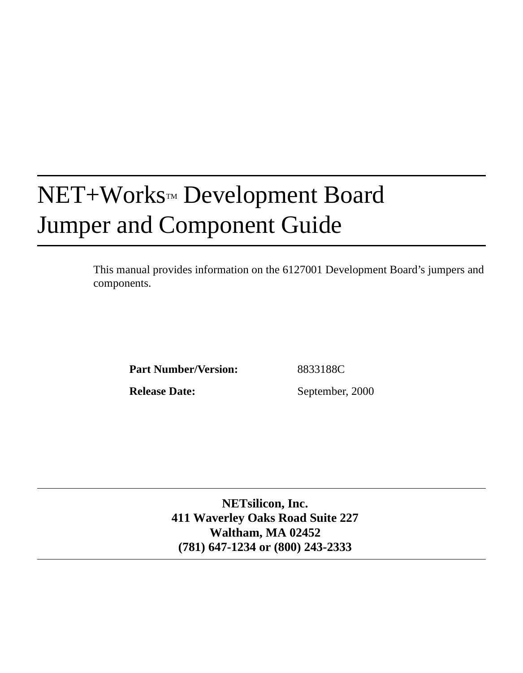# NET+Works™ Development Board Jumper and Component Guide

This manual provides information on the 6127001 Development Board's jumpers and components.

Part Number/Version: 8833188C

**Release Date:** September, 2000

**NETsilicon, Inc. 411 Waverley Oaks Road Suite 227 Waltham, MA 02452 (781) 647-1234 or (800) 243-2333**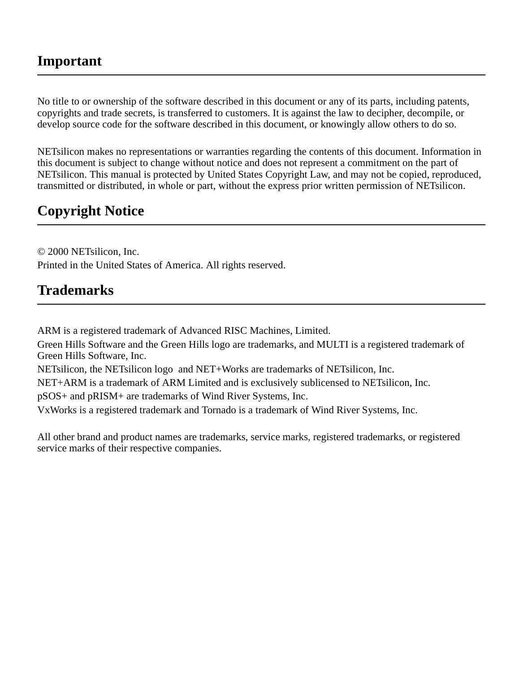#### **Important**

No title to or ownership of the software described in this document or any of its parts, including patents, copyrights and trade secrets, is transferred to customers. It is against the law to decipher, decompile, or develop source code for the software described in this document, or knowingly allow others to do so.

NETsilicon makes no representations or warranties regarding the contents of this document. Information in this document is subject to change without notice and does not represent a commitment on the part of NETsilicon. This manual is protected by United States Copyright Law, and may not be copied, reproduced, transmitted or distributed, in whole or part, without the express prior written permission of NETsilicon.

## **Copyright Notice**

© 2000 NETsilicon, Inc. Printed in the United States of America. All rights reserved.

## **Trademarks**

ARM is a registered trademark of Advanced RISC Machines, Limited.

Green Hills Software and the Green Hills logo are trademarks, and MULTI is a registered trademark of Green Hills Software, Inc.

NETsilicon, the NETsilicon logo and NET+Works are trademarks of NETsilicon, Inc.

NET+ARM is a trademark of ARM Limited and is exclusively sublicensed to NETsilicon, Inc.

pSOS+ and pRISM+ are trademarks of Wind River Systems, Inc.

VxWorks is a registered trademark and Tornado is a trademark of Wind River Systems, Inc.

All other brand and product names are trademarks, service marks, registered trademarks, or registered service marks of their respective companies.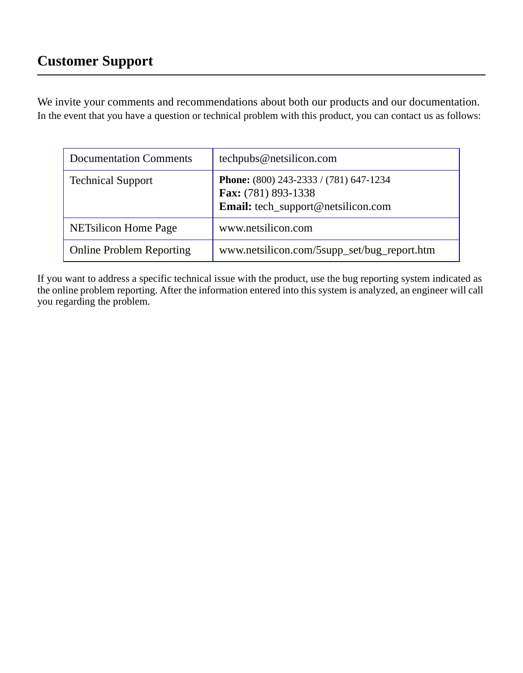We invite your comments and recommendations about both our products and our documentation. In the event that you have a question or technical problem with this product, you can contact us as follows:

| <b>Documentation Comments</b>   | techpubs@netsilicon.com                                                                             |
|---------------------------------|-----------------------------------------------------------------------------------------------------|
| <b>Technical Support</b>        | Phone: (800) 243-2333 / (781) 647-1234<br>Fax: (781) 893-1338<br>Email: tech_support@netsilicon.com |
| <b>NETsilicon Home Page</b>     | www.netsilicon.com                                                                                  |
| <b>Online Problem Reporting</b> | www.netsilicon.com/5supp_set/bug_report.htm                                                         |

If you want to address a specific technical issue with the product, use the bug reporting system indicated as the online problem reporting. After the information entered into this system is analyzed, an engineer will call you regarding the problem.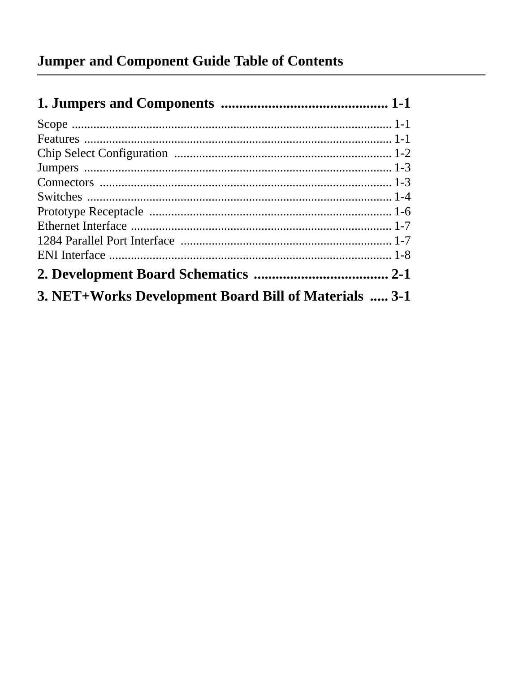| 3. NET+Works Development Board Bill of Materials  3-1 |  |
|-------------------------------------------------------|--|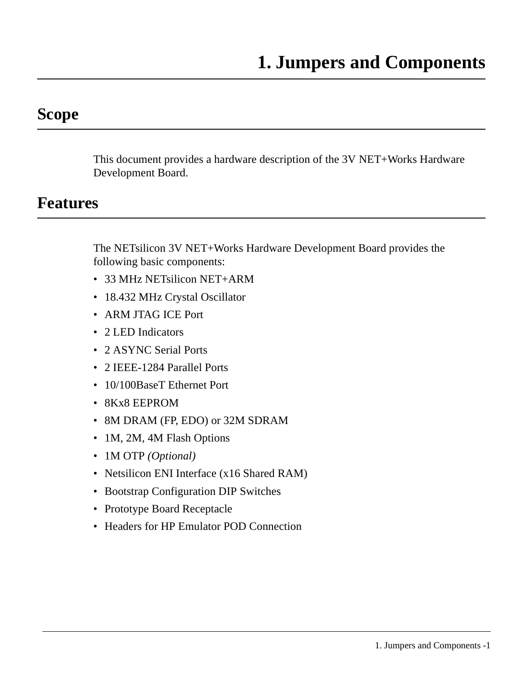## <span id="page-6-1"></span><span id="page-6-0"></span>**Scope**

This document provides a hardware description of the 3V NET+Works Hardware Development Board.

## <span id="page-6-2"></span>**Features**

The NETsilicon 3V NET+Works Hardware Development Board provides the following basic components:

- 33 MHz NETsilicon NET+ARM
- 18.432 MHz Crystal Oscillator
- ARM JTAG ICE Port
- 2 LED Indicators
- 2 ASYNC Serial Ports
- 2 IEEE-1284 Parallel Ports
- 10/100BaseT Ethernet Port
- 8Kx8 EEPROM
- 8M DRAM (FP, EDO) or 32M SDRAM
- 1M, 2M, 4M Flash Options
- 1M OTP *(Optional)*
- Netsilicon ENI Interface (x16 Shared RAM)
- Bootstrap Configuration DIP Switches
- Prototype Board Receptacle
- Headers for HP Emulator POD Connection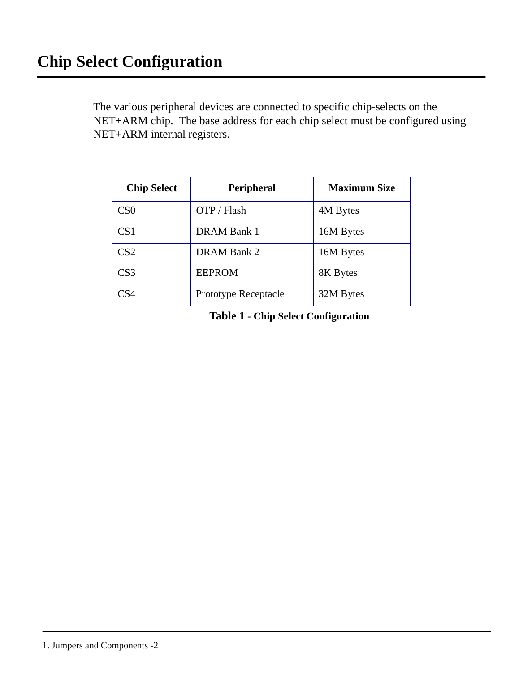<span id="page-7-0"></span>The various peripheral devices are connected to specific chip-selects on the NET+ARM chip. The base address for each chip select must be configured using NET+ARM internal registers.

| <b>Chip Select</b> | Peripheral           | <b>Maximum Size</b> |
|--------------------|----------------------|---------------------|
| CS0                | OTP / Flash          | 4M Bytes            |
| CS1                | DRAM Bank 1          | 16M Bytes           |
| CS <sub>2</sub>    | DRAM Bank 2          | 16M Bytes           |
| CS3                | <b>EEPROM</b>        | 8K Bytes            |
| CS4                | Prototype Receptacle | 32M Bytes           |

**Table 1 - Chip Select Configuration**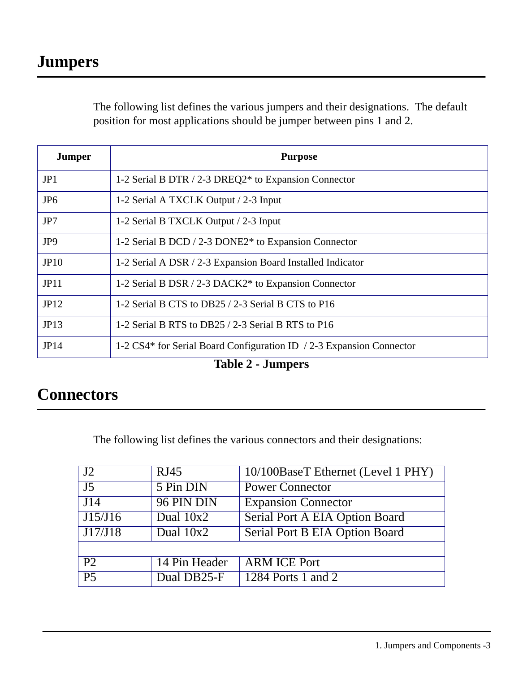<span id="page-8-0"></span>The following list defines the various jumpers and their designations. The default position for most applications should be jumper between pins 1 and 2.

| <b>Jumper</b>   | <b>Purpose</b>                                                       |
|-----------------|----------------------------------------------------------------------|
| JP1             | 1-2 Serial B DTR / 2-3 DREQ2* to Expansion Connector                 |
| JP <sub>6</sub> | 1-2 Serial A TXCLK Output / 2-3 Input                                |
| JP7             | 1-2 Serial B TXCLK Output / 2-3 Input                                |
| JP9             | 1-2 Serial B DCD / 2-3 DONE2* to Expansion Connector                 |
| JP10            | 1-2 Serial A DSR / 2-3 Expansion Board Installed Indicator           |
| JP11            | 1-2 Serial B DSR / 2-3 DACK2* to Expansion Connector                 |
| JP12            | 1-2 Serial B CTS to DB25 / 2-3 Serial B CTS to P16                   |
| JP13            | 1-2 Serial B RTS to DB25 / 2-3 Serial B RTS to P16                   |
| JP14            | 1-2 CS4* for Serial Board Configuration ID / 2-3 Expansion Connector |

**Table 2 - Jumpers**

## <span id="page-8-1"></span>**Connectors**

The following list defines the various connectors and their designations:

| $\sqrt{12}$     | RJ45          | 10/100BaseT Ethernet (Level 1 PHY) |
|-----------------|---------------|------------------------------------|
| $\overline{J5}$ | 5 Pin DIN     | <b>Power Connector</b>             |
| J14             | 96 PIN DIN    | <b>Expansion Connector</b>         |
| J15/J16         | Dual $10x2$   | Serial Port A EIA Option Board     |
| J17/J18         | Dual $10x2$   | Serial Port B EIA Option Board     |
|                 |               |                                    |
| P <sub>2</sub>  | 14 Pin Header | <b>ARM ICE Port</b>                |
| $\overline{P5}$ | Dual DB25-F   | $\overline{1284}$ Ports 1 and 2    |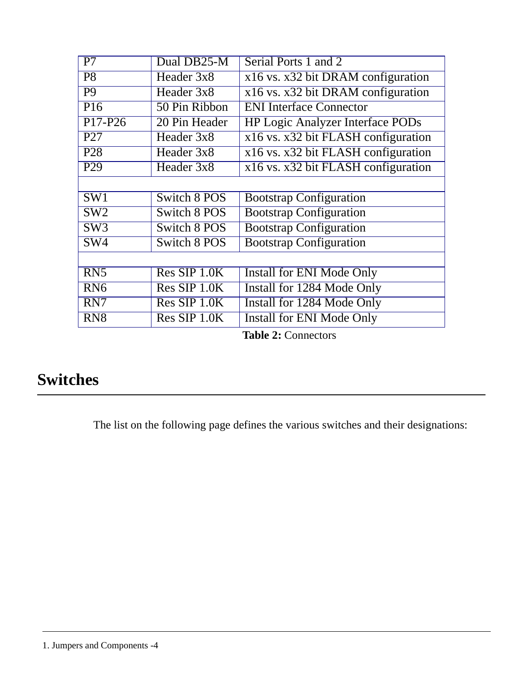| $\overline{P7}$         | Dual DB25-M                                | Serial Ports 1 and 2                    |
|-------------------------|--------------------------------------------|-----------------------------------------|
| $\overline{P8}$         | Header 3x8                                 | x16 vs. x32 bit DRAM configuration      |
| $\overline{P9}$         | Header 3x8                                 | x16 vs. x32 bit DRAM configuration      |
| P16                     | 50 Pin Ribbon                              | <b>ENI</b> Interface Connector          |
| $P17-P26$               | 20 Pin Header                              | <b>HP Logic Analyzer Interface PODs</b> |
| P <sub>27</sub>         | Header 3x8                                 | x16 vs. x32 bit FLASH configuration     |
| P28                     | $\overline{\text{Header 3}}$ <sub>x8</sub> | x16 vs. x32 bit FLASH configuration     |
| P29                     | Header 3x8                                 | x16 vs. x32 bit FLASH configuration     |
|                         |                                            |                                         |
| $\overline{\text{SW1}}$ | Switch 8 POS                               | <b>Bootstrap Configuration</b>          |
| SW2                     | <b>Switch 8 POS</b>                        | <b>Bootstrap Configuration</b>          |
| SW <sub>3</sub>         | Switch 8 POS                               | <b>Bootstrap Configuration</b>          |
| $\overline{\text{SW4}}$ | <b>Switch 8 POS</b>                        | <b>Bootstrap Configuration</b>          |
|                         |                                            |                                         |
| $\overline{RN5}$        | Res SIP 1.0K                               | Install for ENI Mode Only               |
| $\overline{RN6}$        | Res SIP 1.0K                               | Install for 1284 Mode Only              |
| RN7                     | Res SIP 1.0K                               | Install for 1284 Mode Only              |
| RN <sub>8</sub>         | Res SIP 1.0K                               | Install for ENI Mode Only               |
|                         |                                            | Table 2. Connections                    |

**Table 2:** Connectors

# <span id="page-9-0"></span>**Switches**

The list on the following page defines the various switches and their designations: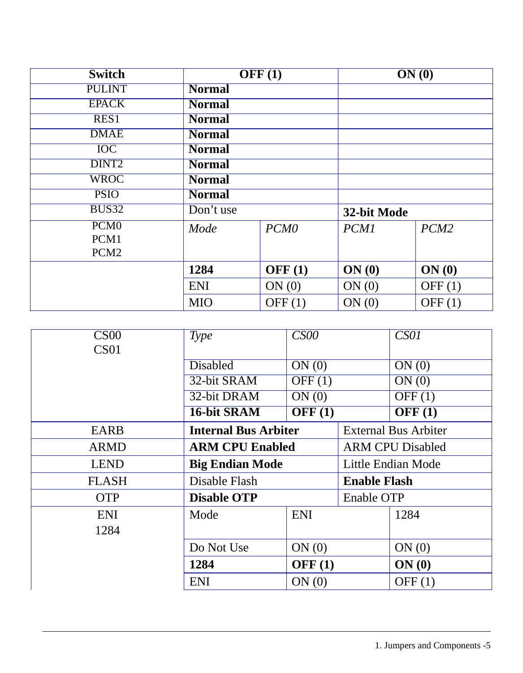| <b>Switch</b>                                |               | OFF(1)           | ON(0)       |           |
|----------------------------------------------|---------------|------------------|-------------|-----------|
| <b>PULINT</b>                                | <b>Normal</b> |                  |             |           |
| <b>EPACK</b>                                 | <b>Normal</b> |                  |             |           |
| RES1                                         | <b>Normal</b> |                  |             |           |
| <b>DMAE</b>                                  | <b>Normal</b> |                  |             |           |
| <b>IOC</b>                                   | <b>Normal</b> |                  |             |           |
| DINT <sub>2</sub>                            | <b>Normal</b> |                  |             |           |
| <b>WROC</b>                                  | <b>Normal</b> |                  |             |           |
| <b>PSIO</b>                                  | <b>Normal</b> |                  |             |           |
| BUS32                                        | Don't use     |                  | 32-bit Mode |           |
| PCM <sub>0</sub><br>PCM1<br>PCM <sub>2</sub> | Mode          | PCM <sub>0</sub> | <b>PCM1</b> | PCM2      |
|                                              | 1284          | OFF $(1)$        | ON(0)       | ON(0)     |
|                                              | <b>ENI</b>    | ON(0)            | ON(0)       | OFF $(1)$ |
|                                              | <b>MIO</b>    | OFF $(1)$        | ON(0)       | OFF $(1)$ |

| CS <sub>00</sub> | <b>Type</b>                 | CS00                       |                             | CS01                |
|------------------|-----------------------------|----------------------------|-----------------------------|---------------------|
| CS <sub>01</sub> |                             |                            |                             |                     |
|                  | <b>Disabled</b>             | ON(0)                      |                             | ON(0)               |
|                  | 32-bit SRAM                 | $\overline{\text{OFF}}(1)$ |                             | ON(0)               |
|                  | 32-bit DRAM                 | ON(0)                      |                             | $\overline{OFF(1)}$ |
|                  | 16-bit SRAM                 | OFF(1)                     |                             | OFF(1)              |
| <b>EARB</b>      | <b>Internal Bus Arbiter</b> |                            | <b>External Bus Arbiter</b> |                     |
| <b>ARMD</b>      | <b>ARM CPU Enabled</b>      |                            | <b>ARM CPU Disabled</b>     |                     |
| <b>LEND</b>      | <b>Big Endian Mode</b>      |                            | Little Endian Mode          |                     |
| <b>FLASH</b>     | Disable Flash               |                            | <b>Enable Flash</b>         |                     |
| <b>OTP</b>       | <b>Disable OTP</b>          |                            | Enable OTP                  |                     |
| <b>ENI</b>       | Mode                        | <b>ENI</b>                 |                             | 1284                |
| 1284             |                             |                            |                             |                     |
|                  | Do Not Use                  | ON(0)                      |                             | ON(0)               |
|                  | 1284                        | OFF(1)                     |                             | ON(0)               |
|                  | <b>ENI</b>                  | ON(0)                      |                             | OFF $(1)$           |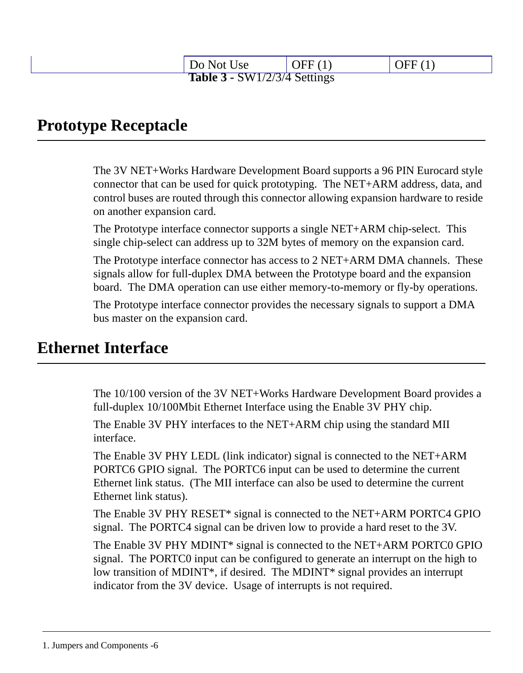| Do Not Use                          | OFF $(1)$ | $\Delta FF(1)$ |
|-------------------------------------|-----------|----------------|
| <b>Table 3 - SW1/2/3/4 Settings</b> |           |                |

### <span id="page-11-0"></span>**Prototype Receptacle**

The 3V NET+Works Hardware Development Board supports a 96 PIN Eurocard style connector that can be used for quick prototyping. The NET+ARM address, data, and control buses are routed through this connector allowing expansion hardware to reside on another expansion card.

The Prototype interface connector supports a single NET+ARM chip-select. This single chip-select can address up to 32M bytes of memory on the expansion card.

The Prototype interface connector has access to 2 NET+ARM DMA channels. These signals allow for full-duplex DMA between the Prototype board and the expansion board. The DMA operation can use either memory-to-memory or fly-by operations.

The Prototype interface connector provides the necessary signals to support a DMA bus master on the expansion card.

## <span id="page-11-1"></span>**Ethernet Interface**

The 10/100 version of the 3V NET+Works Hardware Development Board provides a full-duplex 10/100Mbit Ethernet Interface using the Enable 3V PHY chip.

The Enable 3V PHY interfaces to the NET+ARM chip using the standard MII interface.

The Enable 3V PHY LEDL (link indicator) signal is connected to the NET+ARM PORTC6 GPIO signal. The PORTC6 input can be used to determine the current Ethernet link status. (The MII interface can also be used to determine the current Ethernet link status).

The Enable 3V PHY RESET\* signal is connected to the NET+ARM PORTC4 GPIO signal. The PORTC4 signal can be driven low to provide a hard reset to the 3V.

The Enable 3V PHY MDINT\* signal is connected to the NET+ARM PORTC0 GPIO signal. The PORTC0 input can be configured to generate an interrupt on the high to low transition of MDINT<sup>\*</sup>, if desired. The MDINT<sup>\*</sup> signal provides an interrupt indicator from the 3V device. Usage of interrupts is not required.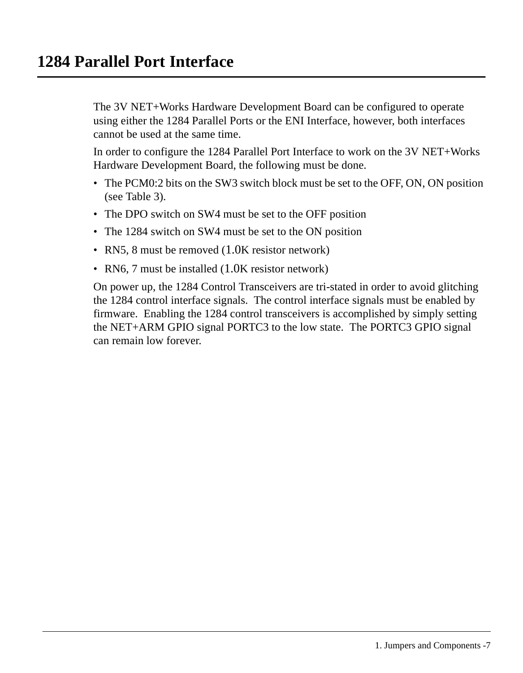<span id="page-12-0"></span>The 3V NET+Works Hardware Development Board can be configured to operate using either the 1284 Parallel Ports or the ENI Interface, however, both interfaces cannot be used at the same time.

In order to configure the 1284 Parallel Port Interface to work on the 3V NET+Works Hardware Development Board, the following must be done.

- The PCM0:2 bits on the SW3 switch block must be set to the OFF, ON, ON position (see Table 3).
- The DPO switch on SW4 must be set to the OFF position
- The 1284 switch on SW4 must be set to the ON position
- RN5, 8 must be removed (1.0K resistor network)
- RN6, 7 must be installed (1.0K resistor network)

On power up, the 1284 Control Transceivers are tri-stated in order to avoid glitching the 1284 control interface signals. The control interface signals must be enabled by firmware. Enabling the 1284 control transceivers is accomplished by simply setting the NET+ARM GPIO signal PORTC3 to the low state. The PORTC3 GPIO signal can remain low forever.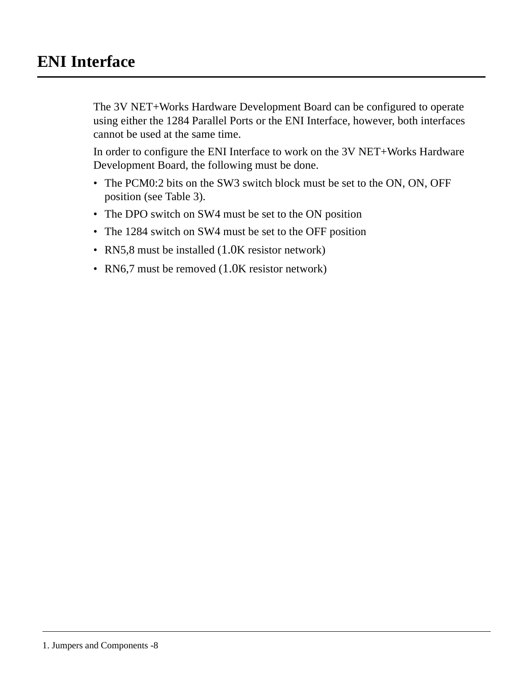## <span id="page-13-0"></span>**ENI Interface**

The 3V NET+Works Hardware Development Board can be configured to operate using either the 1284 Parallel Ports or the ENI Interface, however, both interfaces cannot be used at the same time.

In order to configure the ENI Interface to work on the 3V NET+Works Hardware Development Board, the following must be done.

- The PCM0:2 bits on the SW3 switch block must be set to the ON, ON, OFF position (see Table 3).
- The DPO switch on SW4 must be set to the ON position
- The 1284 switch on SW4 must be set to the OFF position
- RN5,8 must be installed  $(1.0K$  resistor network)
- RN6,7 must be removed (1.0K resistor network)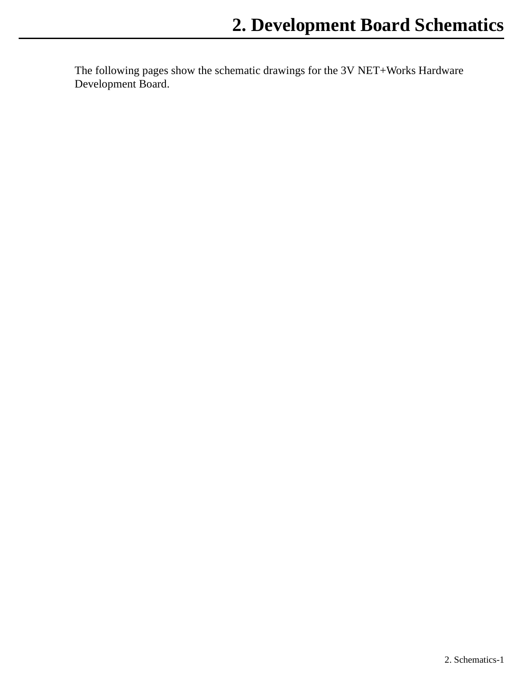<span id="page-14-0"></span>The following pages show the schematic drawings for the 3V NET+Works Hardware Development Board.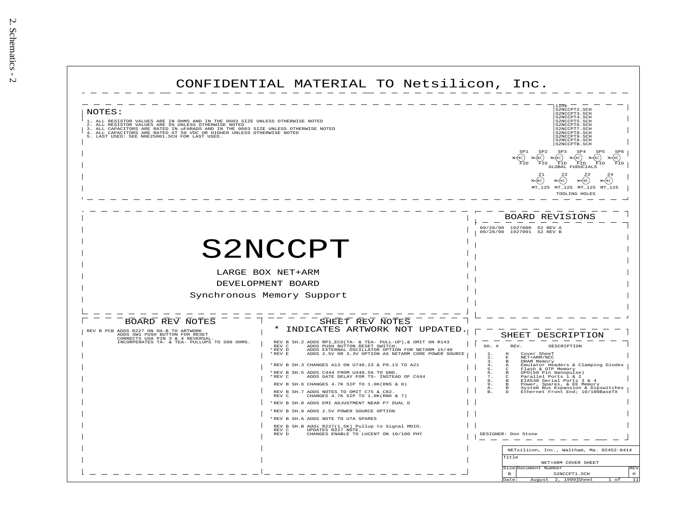| CONFIDENTIAL MATERIAL TO Netsilicon, Inc.                                                                                                                                                                                                                                                                                                                                                                                                                                                                                                                                      |                                                                                                                                                                                                                                                                                                                                                                                                                                                                                                                                                                                                                                          |
|--------------------------------------------------------------------------------------------------------------------------------------------------------------------------------------------------------------------------------------------------------------------------------------------------------------------------------------------------------------------------------------------------------------------------------------------------------------------------------------------------------------------------------------------------------------------------------|------------------------------------------------------------------------------------------------------------------------------------------------------------------------------------------------------------------------------------------------------------------------------------------------------------------------------------------------------------------------------------------------------------------------------------------------------------------------------------------------------------------------------------------------------------------------------------------------------------------------------------------|
| NOTES:<br>1. ALL RESISTOR VALUES ARE IN OHMS AND IN THE 0603 SIZE UNLESS OTHERWISE NOTED 2. ALL RESISTOR VALUES ARE 5% UNLESS OTHERWISE NOTED<br>3. ALL CAPACITORS ARE RATED IN UPARADS AND IN THE 0603 SIZE UNLESS OTHERWISE NOTED 4. ALL CAPACITORS ARE RATED IN UPARADS AND IN THE 0603 SIZE UNLESS OTHERWISE NOTED 5. LAST USED SER NORZSOOI.SCH FOR LAST USED.                                                                                                                                                                                                            | link<br>S2NCCPT2 SCH<br>S2NCCPT3.SCH<br>S2NCCPT4.SCH<br>S2NCCPT5. SCH<br>S2NCCPT6.SCH<br>S2NCCPT7.SCH<br>S2NCCPT8.SCH<br>S2NCCPT9 SCH<br>S2NCCPTA.SCH<br>S2NCCPTB. SCH<br>SP1<br>SP2<br>SP3<br>SP4<br>SP6<br>$\times$ (NC)<br>⊁(NC)<br>$\begin{matrix} \begin{smallmatrix} \mathsf{NC} \end{smallmatrix} \\ \begin{smallmatrix} \mathsf{FID} \end{smallmatrix} \end{matrix} \times \begin{matrix} \mathsf{NC} \\ \mathsf{FID} \end{matrix}$<br>(NC)<br>(NC)<br>FTD<br>FID<br>FID<br>FID<br><b>GLOBAL FUDUCIALS</b><br>(NC)<br>(NC<br>MT_125 MT_125 MT_125<br>MT 125<br>TOOLING HOLES                                                     |
| S2NCCPT<br>LARGE BOX NET+ARM<br>DEVELOPMENT BOARD<br>Synchronous Memory Support<br>BOARD REV NOTES<br>SHEET REV NOTES<br>INDICATES ARTWORK NOT UPDATED<br>REV B PCB ADDS R227 ON SH B TO ARTWORK<br>ADDS SW1 PUSH BUTTON FOR RESET<br>CORRECTS USA PIN 3 & 4 REVERSAL.<br>INCORPERATES TA- & TEA- PULLUPS TO 500 OHMS.<br>REV B SH.2 ADDS RP1_ECO(TA- & TEA- PULL-UP), & OMIT ON R143<br>ADDS PUSH BUTTON RESET SWITCH. TOR NETARM 15/40 ADDS EXTERNAL OSCILLATOR OPTION FOR NETARM 15/40<br>REV C<br>REV D<br>ADDS 2.5V OR 3.3V OPTION AS NETARM CORE POWER SOURCE<br>* REV E | BOARD REVISIONS<br>1927000<br>09/28/98<br>S2 REV A<br>09/28/98 1927001<br>S2 REV B<br>SHEET DESCRIPTION<br>SH.<br>$\pm$<br>REV.<br>DESCRIPTION<br>Cover SheeT<br>$_{\rm H}$<br>2.<br>$\mathbf{E}$<br>NET+ARM/NCC                                                                                                                                                                                                                                                                                                                                                                                                                         |
| *REV B SH.3 CHANGES A13 ON U740.23 & P9.13 TO A21<br>*REV B SH.5 ADDS C444 FROM U440.56 TO GND.<br>ADDS GATE DELAY FOR TS- INSTEAD OF C444<br>*REV C<br>REV B SH.6 CHANGES 4.7K SIP TO 1.0K(RN5 & 8)<br>REV B SH. 7 ADDS NOTES TO OMIT C75 & C82.<br>CHANGES 4.7K SIP TO 1.0K(RN6 & 7)<br>REV C<br>*REV B SH.8 ADDS EMI ADJUSTMENT NEAR P7 DUAL D<br>*REV B SH.9 ADDS 2.5V POWER SOURCE OPTION<br>* REV B SH.A ADDS NOTE TO U7A SPARES<br>REV B SH.B Adds R227(1.5K) Pullup to Signal MDIO.<br>REV C UPDATES R227 NOTE.<br>CHANGES ENABLE TO LUCENT ON 10/100 PHY<br>REV D     | DRAM Memory<br>3.<br>$\mathbf{R}$<br>Emulator Headers & Clamping Diodes<br>4.<br>А<br>Б.<br>Flash & OTP Memory<br>DPO(50 Pin Nanopulse)<br>Parallel Ports 1 & 2<br>6.<br>$\mathbf{R}$<br>7.<br>$\epsilon$<br>EIA530 Serial Ports 3 & 4<br>8.<br>$\overline{B}$<br>9.<br>Power, Spares, & EE Memory<br>в<br>System Bus Expansion & Dipswitches<br>Ethernet Front End; 10/100BaseTX<br>A:<br>$\mathbf{R}$<br>DESIGNER: Don Stone<br>NETsilicon, Inc., Waltham, Ma. 02452-8414<br>Title<br>NET+ARM COVER SHEET<br>REV<br>Size Document Number<br>$\mathbf{B}$<br>S2NCCPT1.SCH<br>$_{\rm H}$<br>2, 1999 Sheet<br>Date:<br>11<br>August<br>of |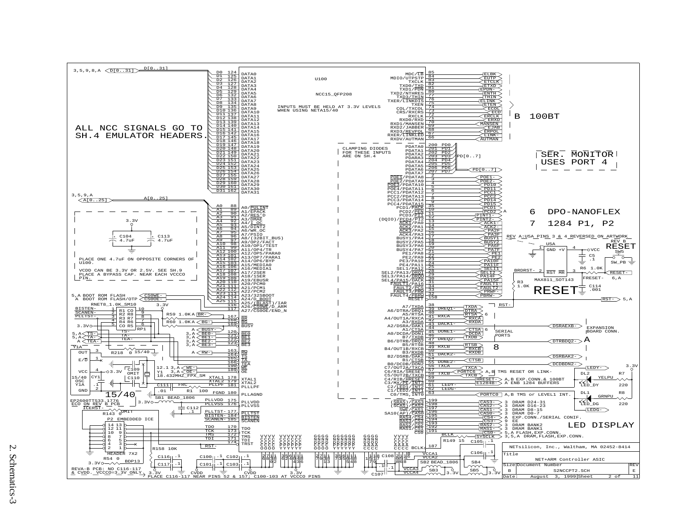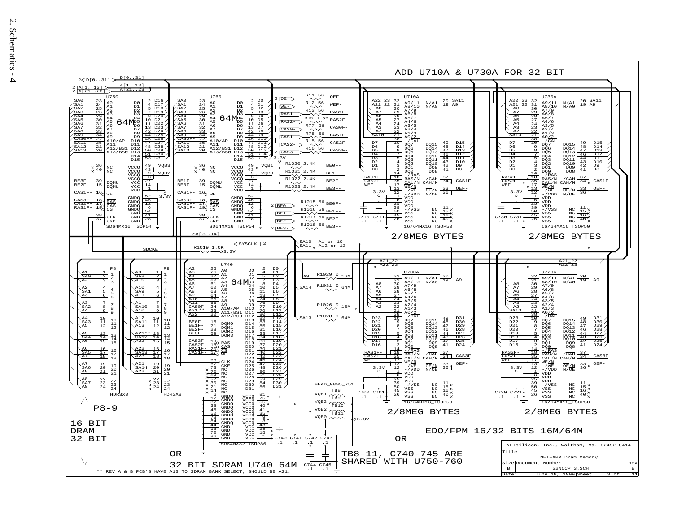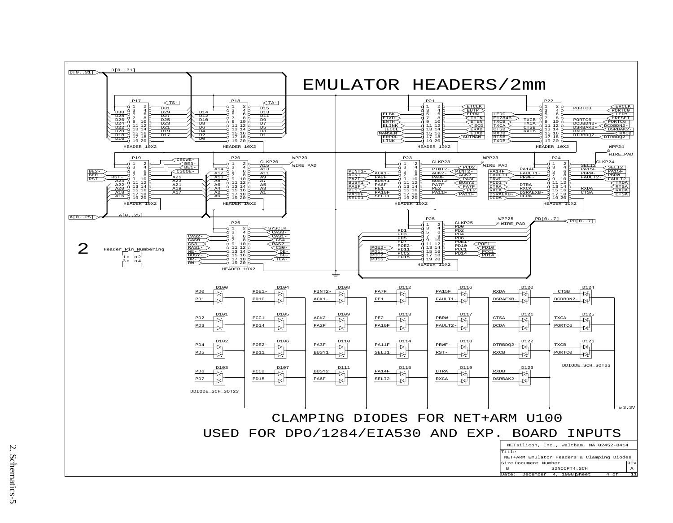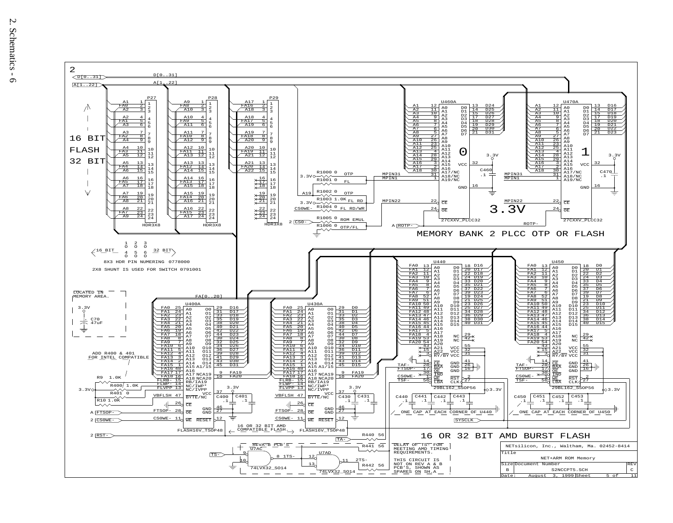

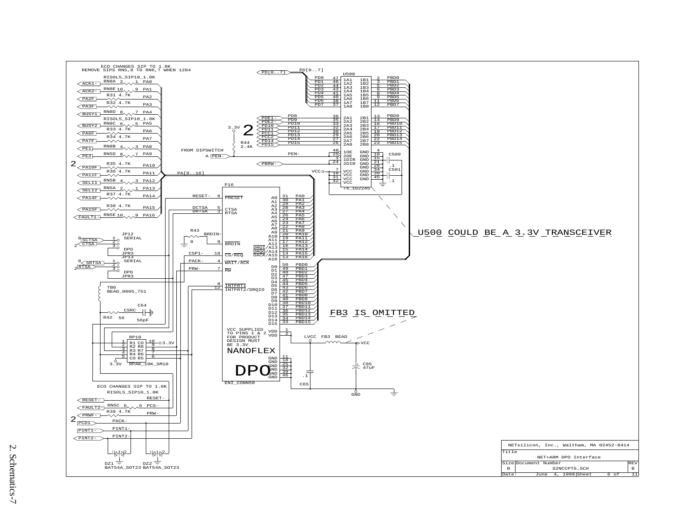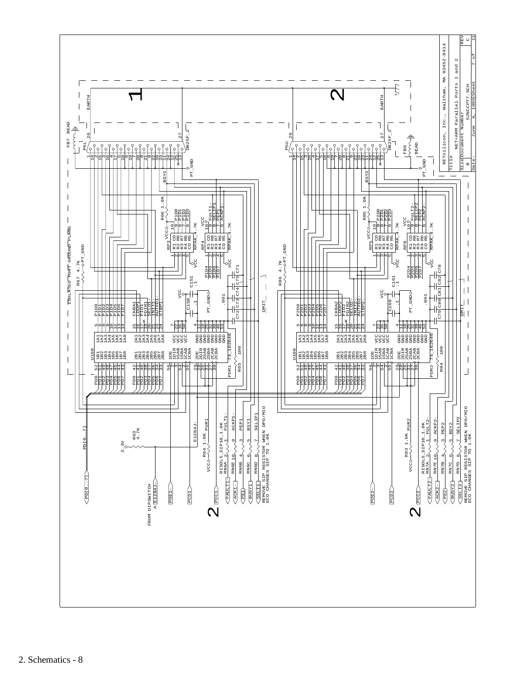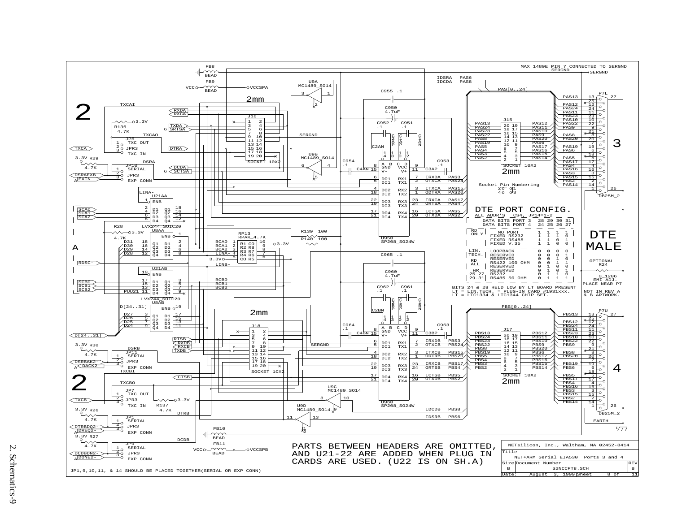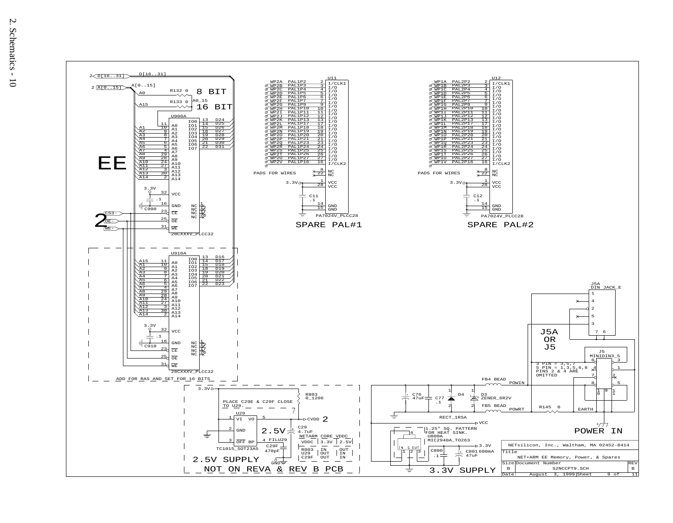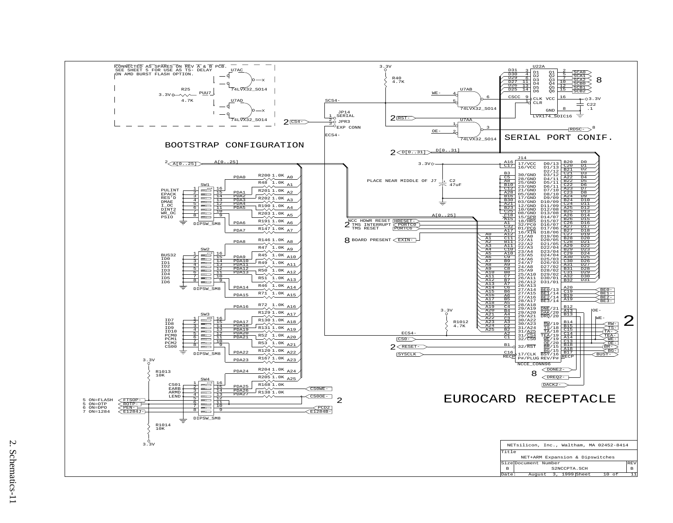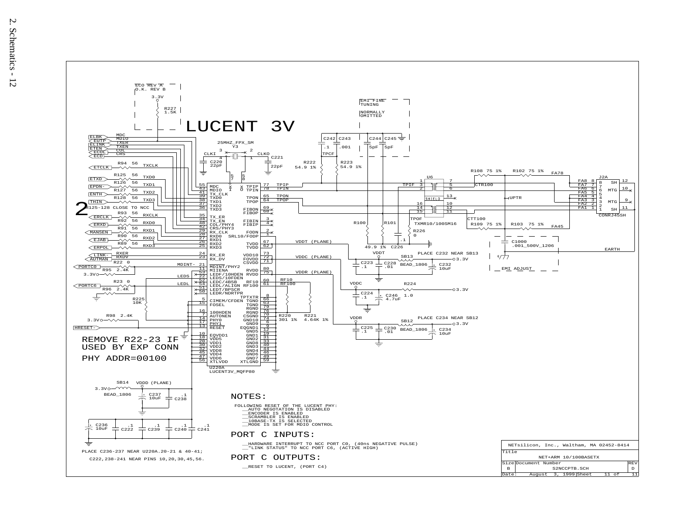

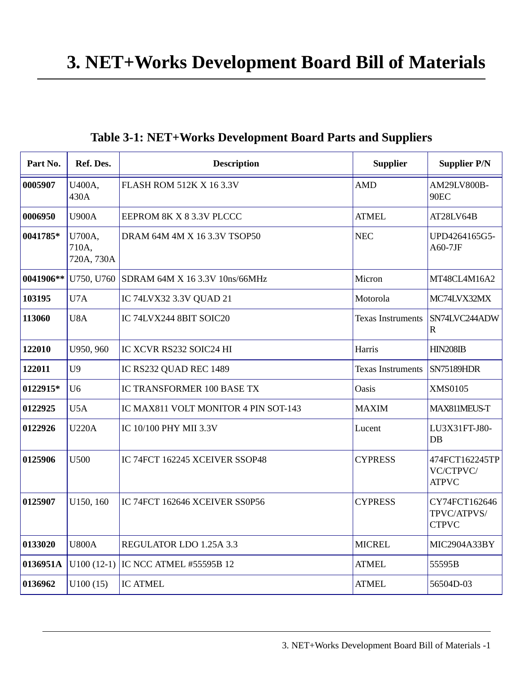<span id="page-26-0"></span>

| Part No.  | Ref. Des.                     | <b>Description</b>                                  | <b>Supplier</b>                                                | <b>Supplier P/N</b>                         |
|-----------|-------------------------------|-----------------------------------------------------|----------------------------------------------------------------|---------------------------------------------|
| 0005907   | U400A,<br>430A                | <b>FLASH ROM 512K X 16 3.3V</b>                     | <b>AMD</b>                                                     |                                             |
| 0006950   | <b>U900A</b>                  | EEPROM 8K X 8 3.3V PLCCC                            | <b>ATMEL</b>                                                   | AT28LV64B                                   |
| 0041785*  | U700A,<br>710A,<br>720A, 730A | <b>NEC</b><br>DRAM 64M 4M X 16 3.3V TSOP50          |                                                                | UPD4264165G5-<br>$A60-7JF$                  |
| 0041906** |                               | U750, U760 SDRAM 64M X 16 3.3V 10ns/66MHz           | Micron                                                         | MT48CL4M16A2                                |
| 103195    | U7A                           | IC 74LVX32 3.3V QUAD 21                             | Motorola                                                       | MC74LVX32MX                                 |
| 113060    | U8A                           | IC 74LVX244 8BIT SOIC20<br><b>Texas Instruments</b> |                                                                | SN74LVC244ADW<br>$\mathbb{R}$               |
| 122010    | U950, 960                     | IC XCVR RS232 SOIC24 HI                             | Harris                                                         | <b>HIN208IB</b>                             |
| 122011    | U <sub>9</sub>                | IC RS232 QUAD REC 1489                              | <b>Texas Instruments</b>                                       | <b>SN75189HDR</b>                           |
| 0122915*  | U <sub>6</sub>                | <b>IC TRANSFORMER 100 BASE TX</b>                   | Oasis                                                          | XMS0105                                     |
| 0122925   | U5A                           | IC MAX811 VOLT MONITOR 4 PIN SOT-143                | <b>MAXIM</b>                                                   | MAX811MEUS-T                                |
| 0122926   | <b>U220A</b>                  | IC 10/100 PHY MII 3.3V                              | Lucent                                                         | LU3X31FT-J80-<br>$DB$                       |
| 0125906   | U500                          | IC 74FCT 162245 XCEIVER SSOP48<br><b>CYPRESS</b>    |                                                                | 474FCT162245TP<br>VC/CTPVC/<br><b>ATPVC</b> |
| 0125907   | U150, 160                     | IC 74FCT 162646 XCEIVER SS0P56                      | CY74FCT162646<br><b>CYPRESS</b><br>TPVC/ATPVS/<br><b>CTPVC</b> |                                             |
| 0133020   | <b>U800A</b>                  | <b>MICREL</b><br>REGULATOR LDO 1.25A 3.3            |                                                                | MIC2904A33BY                                |
| 0136951A  |                               | U100 (12-1) IC NCC ATMEL #55595B 12                 | <b>ATMEL</b>                                                   | 55595B                                      |
| 0136962   | U100(15)                      | <b>IC ATMEL</b>                                     | <b>ATMEL</b>                                                   | 56504D-03                                   |

3. NET+Works Development Board Bill of Materials -1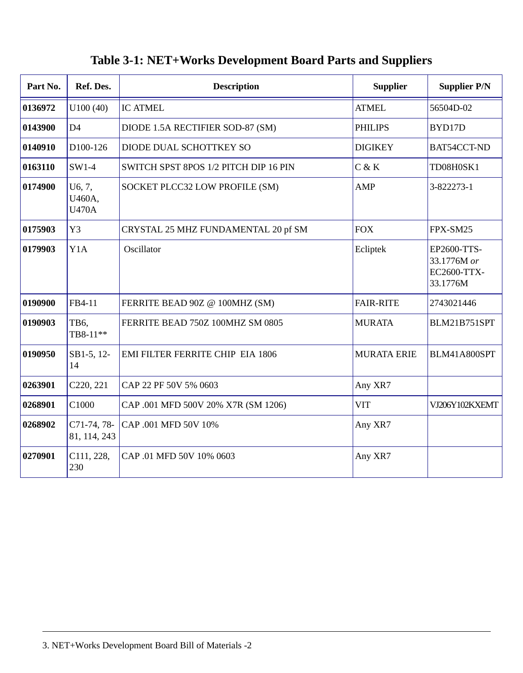| Part No. | Ref. Des.                        | <b>Description</b>                    | <b>Supplier</b>    | <b>Supplier P/N</b>                                   |
|----------|----------------------------------|---------------------------------------|--------------------|-------------------------------------------------------|
| 0136972  | U100(40)                         | <b>IC ATMEL</b>                       | <b>ATMEL</b>       | 56504D-02                                             |
| 0143900  | D <sub>4</sub>                   | DIODE 1.5A RECTIFIER SOD-87 (SM)      | <b>PHILIPS</b>     | BYD17D                                                |
| 0140910  | D <sub>100</sub> -126            | DIODE DUAL SCHOTTKEY SO               | <b>DIGIKEY</b>     | BAT54CCT-ND                                           |
| 0163110  | $SW1-4$                          | SWITCH SPST 8POS 1/2 PITCH DIP 16 PIN | C & K              | TD08H0SK1                                             |
| 0174900  | U6, 7,<br>U460A,<br><b>U470A</b> | SOCKET PLCC32 LOW PROFILE (SM)        | <b>AMP</b>         | 3-822273-1                                            |
| 0175903  | Y3                               | CRYSTAL 25 MHZ FUNDAMENTAL 20 pf SM   | <b>FOX</b>         | FPX-SM25                                              |
| 0179903  | Y <sub>1</sub> A                 | Oscillator                            | Ecliptek           | EP2600-TTS-<br>33.1776M or<br>EC2600-TTX-<br>33.1776M |
| 0190900  | FB4-11                           | FERRITE BEAD 90Z @ 100MHZ (SM)        | <b>FAIR-RITE</b>   | 2743021446                                            |
| 0190903  | TB6,<br>TB8-11**                 | FERRITE BEAD 750Z 100MHZ SM 0805      | <b>MURATA</b>      | BLM21B751SPT                                          |
| 0190950  | SB1-5, 12-<br>14                 | EMI FILTER FERRITE CHIP EIA 1806      | <b>MURATA ERIE</b> | BLM41A800SPT                                          |
| 0263901  | C220, 221                        | CAP 22 PF 50V 5% 0603                 | Any XR7            |                                                       |
| 0268901  | C1000                            | CAP .001 MFD 500V 20% X7R (SM 1206)   | VIT                | VJ206Y102KXEMT                                        |
| 0268902  | $C71-74, 78-$<br>81, 114, 243    | CAP .001 MFD 50V 10%                  | Any XR7            |                                                       |
| 0270901  | C111, 228,<br>230                | CAP .01 MFD 50V 10% 0603              | Any XR7            |                                                       |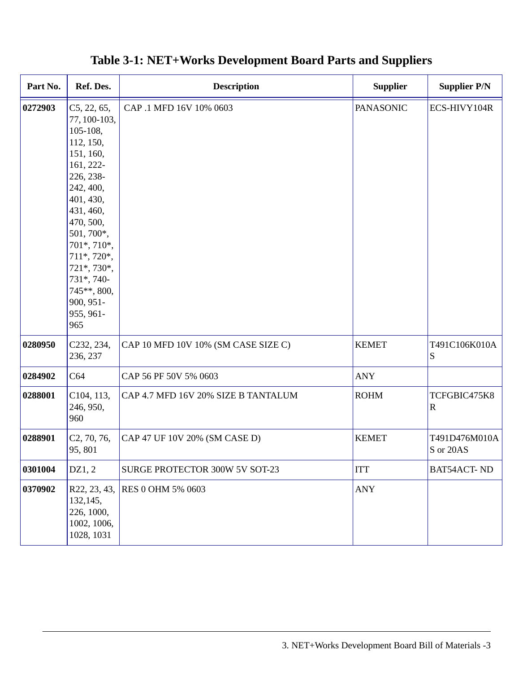| Part No. | Ref. Des.                                                                                                                                                                                                                                                                | <b>Description</b>                  | <b>Supplier</b>  | <b>Supplier P/N</b>        |
|----------|--------------------------------------------------------------------------------------------------------------------------------------------------------------------------------------------------------------------------------------------------------------------------|-------------------------------------|------------------|----------------------------|
| 0272903  | C5, 22, 65,<br>77, 100-103,<br>105-108,<br>112, 150,<br>151, 160,<br>161, 222-<br>226, 238-<br>242, 400,<br>401, 430,<br>431, 460,<br>470, 500,<br>501, 700*,<br>701*, 710*,<br>711*, 720*,<br>721*, 730*,<br>731*, 740-<br>745**, 800,<br>900, 951-<br>955, 961-<br>965 | CAP .1 MFD 16V 10% 0603             | <b>PANASONIC</b> | ECS-HIVY104R               |
| 0280950  | C232, 234,<br>236, 237                                                                                                                                                                                                                                                   | CAP 10 MFD 10V 10% (SM CASE SIZE C) | <b>KEMET</b>     | T491C106K010A<br>S         |
| 0284902  | C64                                                                                                                                                                                                                                                                      | CAP 56 PF 50V 5% 0603               | <b>ANY</b>       |                            |
| 0288001  | C104, 113,<br>246, 950,<br>960                                                                                                                                                                                                                                           | CAP 4.7 MFD 16V 20% SIZE B TANTALUM | <b>ROHM</b>      | TCFGBIC475K8<br>R          |
| 0288901  | C <sub>2</sub> , 70, 76,<br>95, 801                                                                                                                                                                                                                                      | CAP 47 UF 10V 20% (SM CASE D)       | <b>KEMET</b>     | T491D476M010A<br>S or 20AS |
| 0301004  | DZ1, 2                                                                                                                                                                                                                                                                   | SURGE PROTECTOR 300W 5V SOT-23      | <b>ITT</b>       | <b>BAT54ACT-ND</b>         |
| 0370902  | R22, 23, 43,<br>132,145,<br>226, 1000,<br>1002, 1006,<br>1028, 1031                                                                                                                                                                                                      | RES 0 OHM 5% 0603                   | <b>ANY</b>       |                            |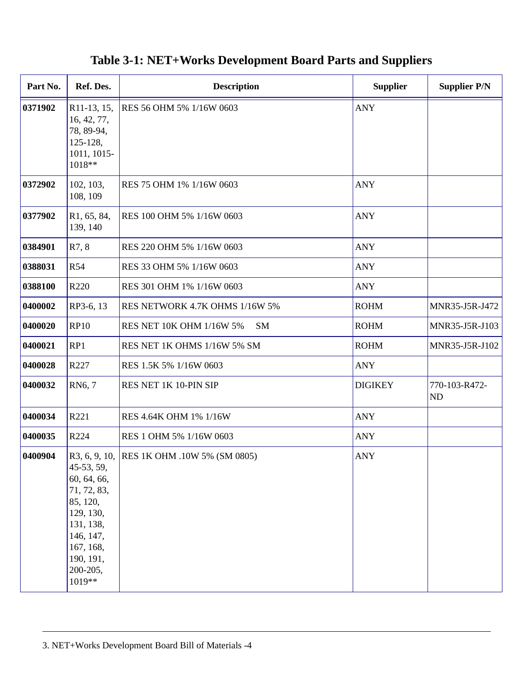| Part No. | Ref. Des.                                                                                                                                                    | <b>Description</b>             | <b>Supplier</b> |                            |
|----------|--------------------------------------------------------------------------------------------------------------------------------------------------------------|--------------------------------|-----------------|----------------------------|
| 0371902  | R <sub>11</sub> -13, 15,<br>16, 42, 77,<br>78, 89-94,<br>125-128.<br>1011, 1015-<br>1018**                                                                   | RES 56 OHM 5% 1/16W 0603       | <b>ANY</b>      |                            |
| 0372902  | 102, 103,<br>108, 109                                                                                                                                        | RES 75 OHM 1% 1/16W 0603       | <b>ANY</b>      |                            |
| 0377902  | R <sub>1</sub> , 65, 84,<br>139, 140                                                                                                                         | RES 100 OHM 5% 1/16W 0603      | <b>ANY</b>      |                            |
| 0384901  | R7, 8                                                                                                                                                        | RES 220 OHM 5% 1/16W 0603      | ANY             |                            |
| 0388031  | R <sub>54</sub>                                                                                                                                              | RES 33 OHM 5% 1/16W 0603       | ANY             |                            |
| 0388100  | R <sub>220</sub>                                                                                                                                             | RES 301 OHM 1% 1/16W 0603      | <b>ANY</b>      |                            |
| 0400002  | RP3-6, 13                                                                                                                                                    | RES NETWORK 4.7K OHMS 1/16W 5% | <b>ROHM</b>     | MNR35-J5R-J472             |
| 0400020  | <b>RP10</b>                                                                                                                                                  | RES NET 10K OHM 1/16W 5%<br>SM | <b>ROHM</b>     | MNR35-J5R-J103             |
| 0400021  | RP1                                                                                                                                                          | RES NET 1K OHMS 1/16W 5% SM    | <b>ROHM</b>     | MNR35-J5R-J102             |
| 0400028  | R227                                                                                                                                                         | RES 1.5K 5% 1/16W 0603         | <b>ANY</b>      |                            |
| 0400032  | RN <sub>6</sub> , 7                                                                                                                                          | RES NET 1K 10-PIN SIP          | <b>DIGIKEY</b>  | 770-103-R472-<br><b>ND</b> |
| 0400034  | R221                                                                                                                                                         | RES 4.64K OHM 1% 1/16W         | ANY             |                            |
| 0400035  | R224                                                                                                                                                         | RES 1 OHM 5% 1/16W 0603        | ANY             |                            |
| 0400904  | R3, 6, 9, 10,<br>45-53, 59,<br>60, 64, 66,<br>71, 72, 83,<br>85, 120,<br>129, 130,<br>131, 138,<br>146, 147,<br>167, 168,<br>190, 191,<br>200-205,<br>1019** | RES 1K OHM .10W 5% (SM 0805)   | <b>ANY</b>      |                            |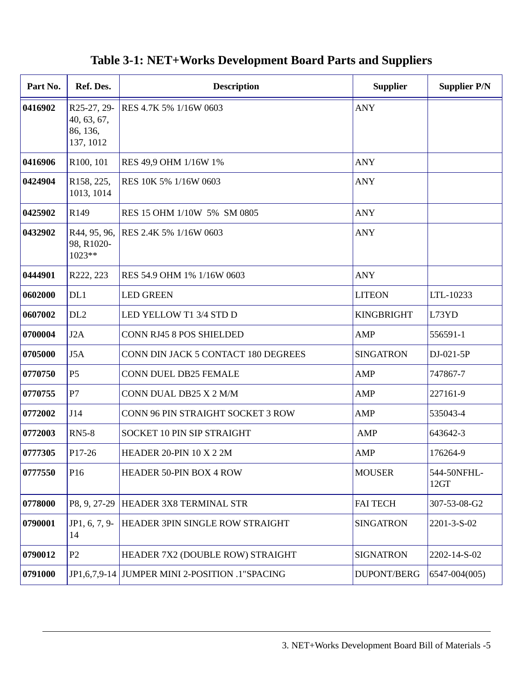| Part No. | Ref. Des.                                                     | <b>Description</b><br><b>Supplier</b>                   |                   | <b>Supplier P/N</b> |
|----------|---------------------------------------------------------------|---------------------------------------------------------|-------------------|---------------------|
| 0416902  | R25-27, 29-<br>40, 63, 67,<br>86, 136,<br>137, 1012           | <b>ANY</b><br>RES 4.7K 5% 1/16W 0603                    |                   |                     |
| 0416906  | R100, 101                                                     | RES 49.9 OHM 1/16W 1%                                   | <b>ANY</b>        |                     |
| 0424904  | R158, 225,<br>1013, 1014                                      | RES 10K 5% 1/16W 0603                                   | ANY               |                     |
| 0425902  | R <sub>149</sub>                                              | RES 15 OHM 1/10W 5% SM 0805                             | <b>ANY</b>        |                     |
| 0432902  | R44, 95, 96,<br>98, R1020-<br>$1023**$                        | RES 2.4K 5% 1/16W 0603                                  | ANY               |                     |
| 0444901  | R222, 223                                                     | RES 54.9 OHM 1% 1/16W 0603                              | ANY               |                     |
| 0602000  | DL1                                                           | <b>LED GREEN</b><br><b>LITEON</b>                       |                   | LTL-10233           |
| 0607002  | DL <sub>2</sub>                                               | LED YELLOW T1 3/4 STD D<br><b>KINGBRIGHT</b>            |                   | L73YD               |
| 0700004  | J2A                                                           | <b>CONN RJ45 8 POS SHIELDED</b><br>AMP                  |                   | 556591-1            |
| 0705000  | J5A                                                           | <b>SINGATRON</b><br>CONN DIN JACK 5 CONTACT 180 DEGREES |                   | DJ-021-5P           |
| 0770750  | <b>P5</b>                                                     | <b>CONN DUEL DB25 FEMALE</b><br>AMP                     |                   | 747867-7            |
| 0770755  | P7                                                            | CONN DUAL DB25 X 2 M/M                                  | AMP               | 227161-9            |
| 0772002  | J14                                                           | CONN 96 PIN STRAIGHT SOCKET 3 ROW                       | AMP               | 535043-4            |
| 0772003  | <b>RN5-8</b>                                                  | SOCKET 10 PIN SIP STRAIGHT                              | AMP               | 643642-3            |
| 0777305  | P17-26                                                        | HEADER 20-PIN $10 X 2 2M$                               | AMP               | 176264-9            |
| 0777550  | P16                                                           | <b>HEADER 50-PIN BOX 4 ROW</b><br><b>MOUSER</b>         |                   | 544-50NFHL-<br>12GT |
| 0778000  |                                                               | <b>FAI TECH</b><br>P8, 9, 27-29 HEADER 3X8 TERMINAL STR |                   | 307-53-08-G2        |
| 0790001  | JP1, 6, 7, 9-<br>14                                           | HEADER 3PIN SINGLE ROW STRAIGHT<br>SINGATRON            |                   | 2201-3-S-02         |
| 0790012  | P <sub>2</sub>                                                | HEADER 7X2 (DOUBLE ROW) STRAIGHT<br>SIGNATRON           |                   | 2202-14-S-02        |
| 0791000  | JP1,6,7,9-14 JUMPER MINI 2-POSITION .1"SPACING<br>DUPONT/BERG |                                                         | $6547 - 004(005)$ |                     |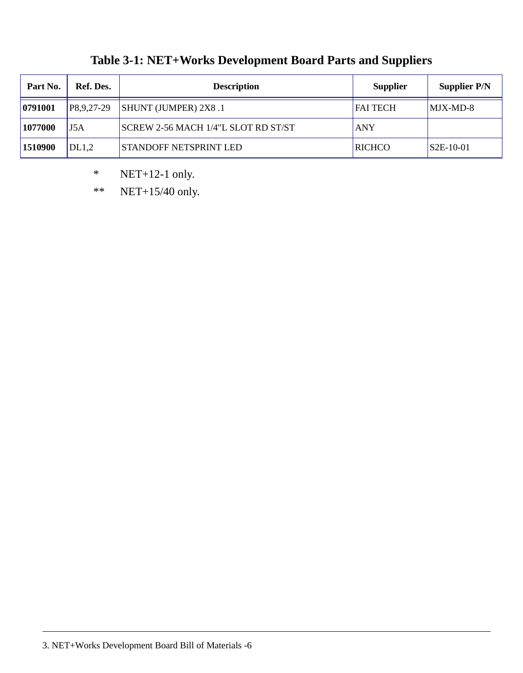| Part No. | Ref. Des.  | <b>Description</b>                  | <b>Supplier</b> | Supplier P/N |
|----------|------------|-------------------------------------|-----------------|--------------|
| 0791001  | P8,9,27-29 | <b>SHUNT (JUMPER) 2X8 .1</b>        | <b>FAI TECH</b> | MJX-MD-8     |
| 1077000  | J5A        | SCREW 2-56 MACH 1/4"L SLOT RD ST/ST | <b>ANY</b>      |              |
| 1510900  | DL1.2      | <b>STANDOFF NETSPRINT LED</b>       | <b>RICHCO</b>   | $S2E-10-01$  |

\* NET+12-1 only.

\*\* NET+15/40 only.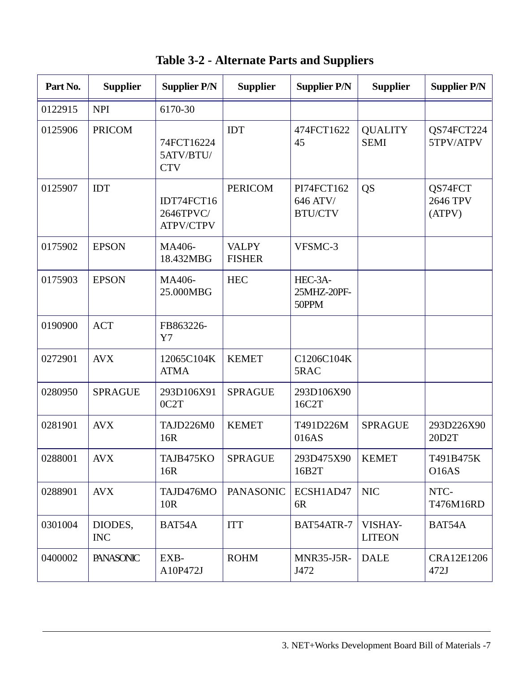**Table 3-2 - Alternate Parts and Suppliers**

| Part No. | <b>Supplier</b>       | <b>Supplier P/N</b>                         | <b>Supplier</b>               | <b>Supplier P/N</b>                      | <b>Supplier</b>               | <b>Supplier P/N</b>           |
|----------|-----------------------|---------------------------------------------|-------------------------------|------------------------------------------|-------------------------------|-------------------------------|
| 0122915  | <b>NPI</b>            | 6170-30                                     |                               |                                          |                               |                               |
| 0125906  | <b>PRICOM</b>         | 74FCT16224<br>5ATV/BTU/<br><b>CTV</b>       | IDT                           | 474FCT1622<br>45                         | <b>QUALITY</b><br><b>SEMI</b> | QS74FCT224<br>5TPV/ATPV       |
| 0125907  | <b>IDT</b>            | IDT74FCT16<br>2646TPVC/<br><b>ATPV/CTPV</b> | <b>PERICOM</b>                | PI74FCT162<br>646 ATV/<br><b>BTU/CTV</b> | QS                            | QS74FCT<br>2646 TPV<br>(ATPV) |
| 0175902  | <b>EPSON</b>          | MA406-<br>18.432MBG                         | <b>VALPY</b><br><b>FISHER</b> | VFSMC-3                                  |                               |                               |
| 0175903  | <b>EPSON</b>          | MA406-<br>25.000MBG                         | <b>HEC</b>                    | HEC-3A-<br>25MHZ-20PF-<br>50PPM          |                               |                               |
| 0190900  | <b>ACT</b>            | FB863226-<br>Y7                             |                               |                                          |                               |                               |
| 0272901  | <b>AVX</b>            | 12065C104K<br><b>ATMA</b>                   | <b>KEMET</b>                  | C1206C104K<br>5RAC                       |                               |                               |
| 0280950  | <b>SPRAGUE</b>        | 293D106X91<br>0C2T                          | <b>SPRAGUE</b>                | 293D106X90<br>16C2T                      |                               |                               |
| 0281901  | <b>AVX</b>            | TAJD226M0<br>16R                            | <b>KEMET</b>                  | T491D226M<br>016AS                       | <b>SPRAGUE</b>                | 293D226X90<br>20D2T           |
| 0288001  | <b>AVX</b>            | TAJB475KO<br>16R                            | <b>SPRAGUE</b>                | 293D475X90<br>16B2T                      | <b>KEMET</b>                  | T491B475K<br><b>O16AS</b>     |
| 0288901  | <b>AVX</b>            | TAJD476MO<br>10R                            | <b>PANASONIC</b>              | ECSH1AD47<br>6R                          | <b>NIC</b>                    | NTC-<br>T476M16RD             |
| 0301004  | DIODES,<br><b>INC</b> | BAT54A                                      | <b>ITT</b>                    | BAT54ATR-7                               | VISHAY-<br><b>LITEON</b>      | BAT54A                        |
| 0400002  | <b>PANASONIC</b>      | EXB-<br>A10P472J                            | <b>ROHM</b>                   | <b>MNR35-J5R-</b><br>J472                | <b>DALE</b>                   | CRA12E1206<br>472J            |

3. NET+Works Development Board Bill of Materials -7